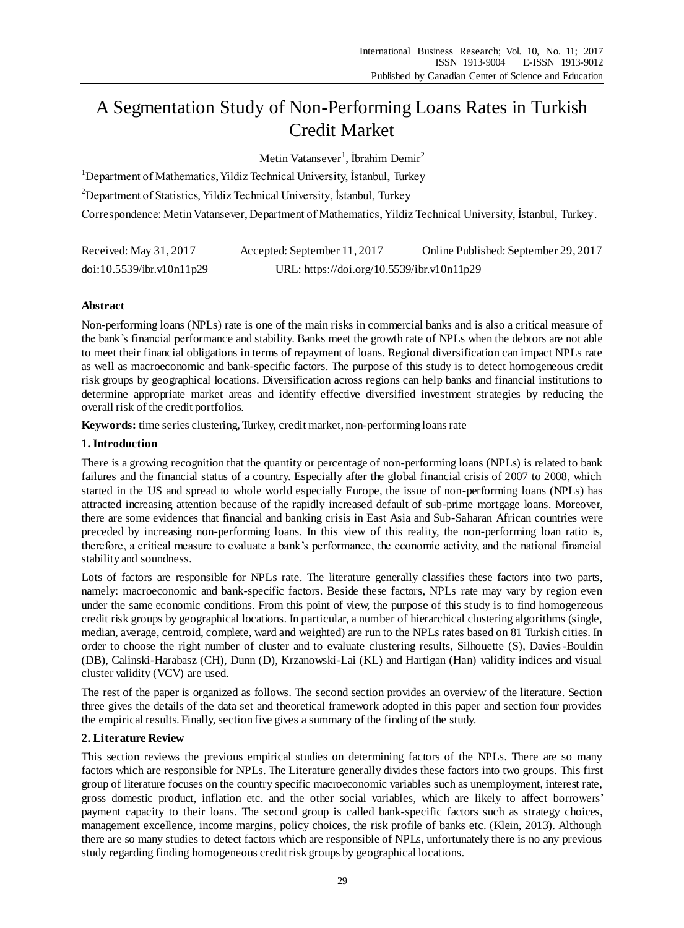# A Segmentation Study of Non-Performing Loans Rates in Turkish Credit Market

Metin Vatansever<sup>1</sup>, İbrahim Demir<sup>2</sup>

<sup>1</sup>Department of Mathematics, Yildiz Technical University, İstanbul, Turkey

<sup>2</sup>Department of Statistics, Yildiz Technical University, Istanbul, Turkey

Correspondence: Metin Vatansever, Department of Mathematics, Yildiz Technical University, İstanbul, Turkey.

| Received: May 31, 2017    | Accepted: September 11, 2017               | Online Published: September 29, 2017 |
|---------------------------|--------------------------------------------|--------------------------------------|
| doi:10.5539/ibr.v10n11p29 | URL: https://doi.org/10.5539/ibr.v10n11p29 |                                      |

# **Abstract**

Non-performing loans (NPLs) rate is one of the main risks in commercial banks and is also a critical measure of the bank's financial performance and stability. Banks meet the growth rate of NPLs when the debtors are not able to meet their financial obligations in terms of repayment of loans. Regional diversification can impact NPLs rate as well as macroeconomic and bank-specific factors. The purpose of this study is to detect homogeneous credit risk groups by geographical locations. Diversification across regions can help banks and financial institutions to determine appropriate market areas and identify effective diversified investment strategies by reducing the overall risk of the credit portfolios.

**Keywords:** time series clustering, Turkey, credit market, non-performing loans rate

# **1. Introduction**

There is a growing recognition that the quantity or percentage of non-performing loans (NPLs) is related to bank failures and the financial status of a country. Especially after the global financial crisis of 2007 to 2008, which started in the US and spread to whole world especially Europe, the issue of non-performing loans (NPLs) has attracted increasing attention because of the rapidly increased default of sub-prime mortgage loans. Moreover, there are some evidences that financial and banking crisis in East Asia and Sub-Saharan African countries were preceded by increasing non-performing loans. In this view of this reality, the non-performing loan ratio is, therefore, a critical measure to evaluate a bank's performance, the economic activity, and the national financial stability and soundness.

Lots of factors are responsible for NPLs rate. The literature generally classifies these factors into two parts, namely: macroeconomic and bank-specific factors. Beside these factors, NPLs rate may vary by region even under the same economic conditions. From this point of view, the purpose of this study is to find homogeneous credit risk groups by geographical locations. In particular, a number of hierarchical clustering algorithms (single, median, average, centroid, complete, ward and weighted) are run to the NPLs rates based on 81 Turkish cities. In order to choose the right number of cluster and to evaluate clustering results, Silhouette (S), Davies-Bouldin (DB), Calinski-Harabasz (CH), Dunn (D), Krzanowski-Lai (KL) and Hartigan (Han) validity indices and visual cluster validity (VCV) are used.

The rest of the paper is organized as follows. The second section provides an overview of the literature. Section three gives the details of the data set and theoretical framework adopted in this paper and section four provides the empirical results. Finally, section five gives a summary of the finding of the study.

# **2. Literature Review**

This section reviews the previous empirical studies on determining factors of the NPLs. There are so many factors which are responsible for NPLs. The Literature generally divides these factors into two groups. This first group of literature focuses on the country specific macroeconomic variables such as unemployment, interest rate, gross domestic product, inflation etc. and the other social variables, which are likely to affect borrowers' payment capacity to their loans. The second group is called bank-specific factors such as strategy choices, management excellence, income margins, policy choices, the risk profile of banks etc. (Klein, 2013). Although there are so many studies to detect factors which are responsible of NPLs, unfortunately there is no any previous study regarding finding homogeneous credit risk groups by geographical locations.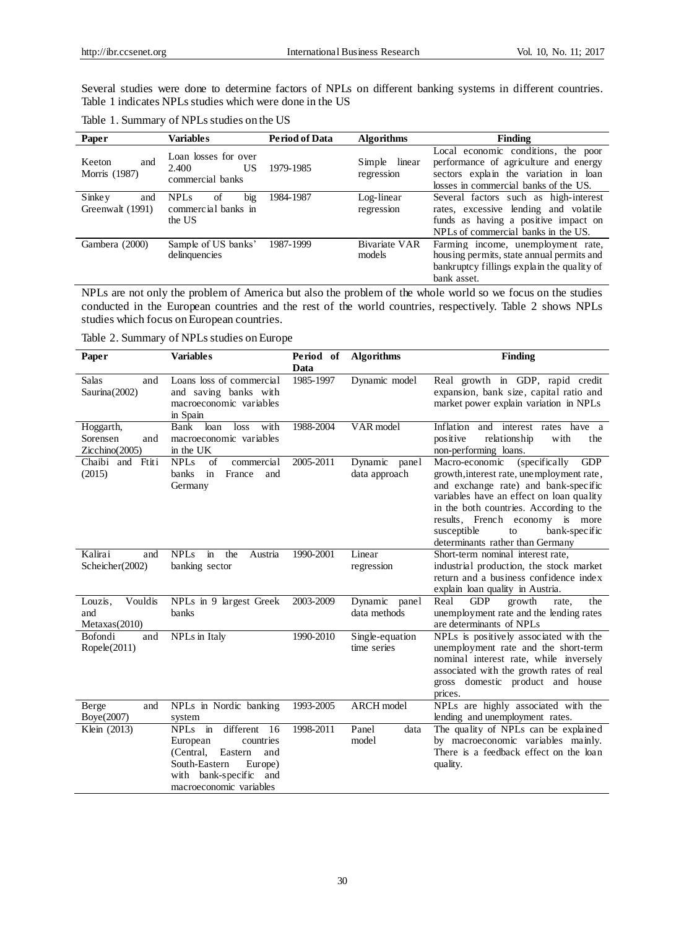Several studies were done to determine factors of NPLs on different banking systems in different countries. Table 1 indicates NPLs studies which were done in the US

| Paper                                                  | Variables                                                 | <b>Period of Data</b> | <b>Algorithms</b>              | Finding                                                                                                                                                        |
|--------------------------------------------------------|-----------------------------------------------------------|-----------------------|--------------------------------|----------------------------------------------------------------------------------------------------------------------------------------------------------------|
| Keeton<br>and<br>Morris (1987)                         | Loan losses for over<br>2.400<br>US<br>commercial banks   | 1979-1985             | linear<br>Simple<br>regression | Local economic conditions, the poor<br>performance of agriculture and energy<br>sectors explain the variation in loan<br>losses in commercial banks of the US. |
| <b>Sinkey</b><br>and<br>Greenwalt (1991)               | <b>NPLs</b><br>of<br>big<br>commercial banks in<br>the US | 1984-1987             | Log-linear<br>regression       | Several factors such as high-interest<br>rates, excessive lending and volatile<br>funds as having a positive impact on<br>NPLs of commercial banks in the US.  |
| Sample of US banks'<br>Gambera (2000)<br>delinquencies |                                                           | 1987-1999             | Bivariate VAR<br>models        | Farming income, unemployment rate,<br>housing permits, state annual permits and<br>bankruptcy fillings explain the quality of<br>bank asset.                   |

Table 1. Summary of NPLs studies on the US

NPLs are not only the problem of America but also the problem of the whole world so we focus on the studies conducted in the European countries and the rest of the world countries, respectively. Table 2 shows NPLs studies which focus on European countries.

Table 2. Summary of NPLs studies on Europe

| Paper                                          | <b>Variables</b>                                                                                                                                                                   | Period of<br>Data | <b>Algorithms</b>                 | <b>Finding</b>                                                                                                                                                                                                                                                                                                                         |
|------------------------------------------------|------------------------------------------------------------------------------------------------------------------------------------------------------------------------------------|-------------------|-----------------------------------|----------------------------------------------------------------------------------------------------------------------------------------------------------------------------------------------------------------------------------------------------------------------------------------------------------------------------------------|
| <b>Salas</b><br>and<br>Saurina(2002)           | Loans loss of commercial<br>and saving banks with<br>macroeconomic variables<br>in Spain                                                                                           | 1985-1997         | Dynamic model                     | Real growth in GDP, rapid credit<br>expansion, bank size, capital ratio and<br>market power explain variation in NPLs                                                                                                                                                                                                                  |
| Hoggarth,<br>Sorensen<br>and<br>Zicchino(2005) | with<br>Bank<br>loan<br>loss<br>macroeconomic variables<br>in the UK                                                                                                               | 1988-2004         | VAR model                         | Inflation and interest rates have a<br>positive<br>relationship<br>with<br>the<br>non-performing loans.                                                                                                                                                                                                                                |
| Chaibi and Ftiti<br>(2015)                     | <b>NPLs</b><br>$\sigma$ f<br>commercial<br>banks<br>in<br>France<br>and<br>Germany                                                                                                 | 2005-2011         | Dynamic<br>panel<br>data approach | (specifically<br>Macro-economic<br><b>GDP</b><br>growth, interest rate, unemployment rate,<br>and exchange rate) and bank-specific<br>variables have an effect on loan quality<br>in the both countries. According to the<br>results, French economy is more<br>susceptible<br>bank-specific<br>to<br>determinants rather than Germany |
| Kalirai<br>and<br>Scheicher(2002)              | <b>NPLs</b><br>the<br>Austria<br>$\mathbf{m}$<br>banking sector                                                                                                                    | 1990-2001         | Linear<br>regression              | Short-term nominal interest rate,<br>industrial production, the stock market<br>return and a business confidence index<br>explain loan quality in Austria.                                                                                                                                                                             |
| Vouldis<br>Louzis,<br>and<br>Metaxas(2010)     | NPLs in 9 largest Greek<br>banks                                                                                                                                                   | 2003-2009         | Dynamic<br>panel<br>data methods  | <b>GDP</b><br>Real<br>growth<br>the<br>rate.<br>unemployment rate and the lending rates<br>are determinants of NPLs                                                                                                                                                                                                                    |
| Bofondi<br>and<br>Ropele(2011)                 | NPLs in Italy                                                                                                                                                                      | 1990-2010         | Single-equation<br>time series    | NPLs is positively associated with the<br>unemployment rate and the short-term<br>nominal interest rate, while inversely<br>associated with the growth rates of real<br>gross domestic product and house<br>prices.                                                                                                                    |
| Berge<br>and<br>Boye(2007)                     | NPLs in Nordic banking<br>system                                                                                                                                                   | 1993-2005         | <b>ARCH</b> model                 | NPLs are highly associated with the<br>lending and unemployment rates.                                                                                                                                                                                                                                                                 |
| Klein (2013)                                   | NPLs in<br>different<br><sup>16</sup><br>countries<br>European<br>(Central.)<br>Eastern<br>and<br>South-Eastern<br>Europe)<br>with bank-specific<br>and<br>macroeconomic variables | 1998-2011         | Panel<br>data<br>model            | The quality of NPLs can be explained<br>by macroeconomic variables mainly.<br>There is a feedback effect on the loan<br>quality.                                                                                                                                                                                                       |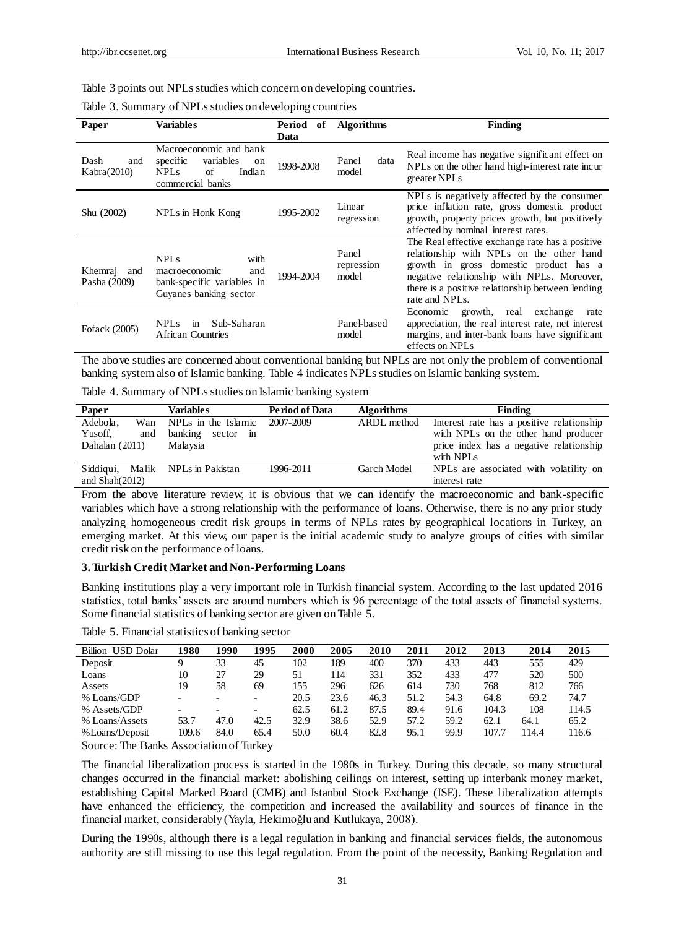Table 3 points out NPLs studies which concern on developing countries.

| Table 3. Summary of NPLs studies on developing countries |  |  |
|----------------------------------------------------------|--|--|
|                                                          |  |  |

| Paper                          | Variables                                                                                                 | Period<br>of      | <b>Algorithms</b>            | Finding                                                                                                                                                                                                                                                                 |  |
|--------------------------------|-----------------------------------------------------------------------------------------------------------|-------------------|------------------------------|-------------------------------------------------------------------------------------------------------------------------------------------------------------------------------------------------------------------------------------------------------------------------|--|
| Dash<br>and<br>Kabra(2010)     | Macroeconomic and bank<br>specific<br>variables<br>on<br><b>NPLs</b><br>of<br>India n<br>commercial banks | Data<br>1998-2008 | Panel<br>data<br>model       | Real income has negative significant effect on<br>NPLs on the other hand high-interest rate incur<br>greater NPLs                                                                                                                                                       |  |
| Shu (2002)                     | NPLs in Honk Kong                                                                                         | 1995-2002         | Linear<br>regression         | NPLs is negatively affected by the consumer<br>price inflation rate, gross domestic product<br>growth, property prices growth, but positively<br>affected by nominal interest rates.                                                                                    |  |
| Khemraj<br>and<br>Pasha (2009) | <b>NPLs</b><br>with<br>macroeconomic<br>and<br>bank-specific variables in<br>Guyanes banking sector       | 1994-2004         | Panel<br>repression<br>model | The Real effective exchange rate has a positive.<br>relationship with NPLs on the other hand<br>growth in gross domestic product has a<br>negative relationship with NPLs. Moreover,<br>there is a positive relationship between lending<br>rate and NPL <sub>s</sub> . |  |
| Fofack (2005)                  | Sub-Saharan<br>NPL <sub>s</sub><br>in<br>African Countries                                                |                   | Panel-based<br>model         | exchange<br>Economic<br>growth, real<br>rate<br>appreciation, the real interest rate, net interest<br>margins, and inter-bank loans have significant<br>effects on NPLs                                                                                                 |  |

The above studies are concerned about conventional banking but NPLs are not only the problem of conventional banking system also of Islamic banking. Table 4 indicates NPLs studies on Islamic banking system.

Table 4. Summary of NPLs studies on Islamic banking system

| Paper                             | <b>Variables</b>                         | <b>Period of Data</b> | <b>Algorithms</b> | Finding                                                                           |
|-----------------------------------|------------------------------------------|-----------------------|-------------------|-----------------------------------------------------------------------------------|
| Adebola,<br>Wan<br>Yusoff,<br>and | NPLs in the Islamic<br>banking sector in | 2007-2009             | ARDL method       | Interest rate has a positive relationship<br>with NPLs on the other hand producer |
|                                   |                                          |                       |                   |                                                                                   |
| Dahalan (2011)                    | Malaysia                                 |                       |                   | price index has a negative relationship                                           |
|                                   |                                          |                       |                   | with NPL <sub>s</sub>                                                             |
| Siddiqui, Malik NPLs in Pakistan  |                                          | 1996-2011             | Garch Model       | NPLs are associated with volatility on                                            |
| and $Shah(2012)$                  |                                          |                       |                   | interest rate                                                                     |

From the above literature review, it is obvious that we can identify the macroeconomic and bank-specific variables which have a strong relationship with the performance of loans. Otherwise, there is no any prior study analyzing homogeneous credit risk groups in terms of NPLs rates by geographical locations in Turkey, an emerging market. At this view, our paper is the initial academic study to analyze groups of cities with similar credit risk on the performance of loans.

#### **3. Turkish Credit Market and Non-Performing Loans**

Banking institutions play a very important role in Turkish financial system. According to the last updated 2016 statistics, total banks' assets are around numbers which is 96 percentage of the total assets of financial systems. Some financial statistics of banking sector are given on Table 5.

| Billion USD Dolar | 1980  | 1990 | 1995 | 2000 | 2005 | 2010 | 2011 | 2012 | 2013  | 2014  | 2015  |
|-------------------|-------|------|------|------|------|------|------|------|-------|-------|-------|
| Deposit           |       | 33   | 45   | 102  | 189  | 400  | 370  | 433  | 443   | 555   | 429   |
| Loans             | 10    | 27   | 29   | 51   | 114  | 331  | 352  | 433  | 477   | 520   | 500   |
| Assets            | 19    | 58   | 69   | 155  | 296  | 626  | 614  | 730  | 768   | 812   | 766   |
| % Loans/GDP       | -     |      | -    | 20.5 | 23.6 | 46.3 | 51.2 | 54.3 | 64.8  | 69.2  | 74.7  |
| % Assets/GDP      |       |      | -    | 62.5 | 61.2 | 87.5 | 89.4 | 91.6 | 104.3 | 108   | 114.5 |
| % Loans/Assets    | 53.7  | 47.0 | 42.5 | 32.9 | 38.6 | 52.9 | 57.2 | 59.2 | 62.1  | 64.1  | 65.2  |
| %Loans/Deposit    | 109.6 | 84.0 | 65.4 | 50.0 | 60.4 | 82.8 | 95.1 | 99.9 | 107.  | 114.4 | 116.6 |

Table 5. Financial statistics of banking sector

Source: The Banks Association of Turkey

The financial liberalization process is started in the 1980s in Turkey. During this decade, so many structural changes occurred in the financial market: abolishing ceilings on interest, setting up interbank money market, establishing Capital Marked Board (CMB) and Istanbul Stock Exchange (ISE). These liberalization attempts have enhanced the efficiency, the competition and increased the availability and sources of finance in the financial market, considerably (Yayla, Hekimoğlu and Kutlukaya, 2008).

During the 1990s, although there is a legal regulation in banking and financial services fields, the autonomous authority are still missing to use this legal regulation. From the point of the necessity, Banking Regulation and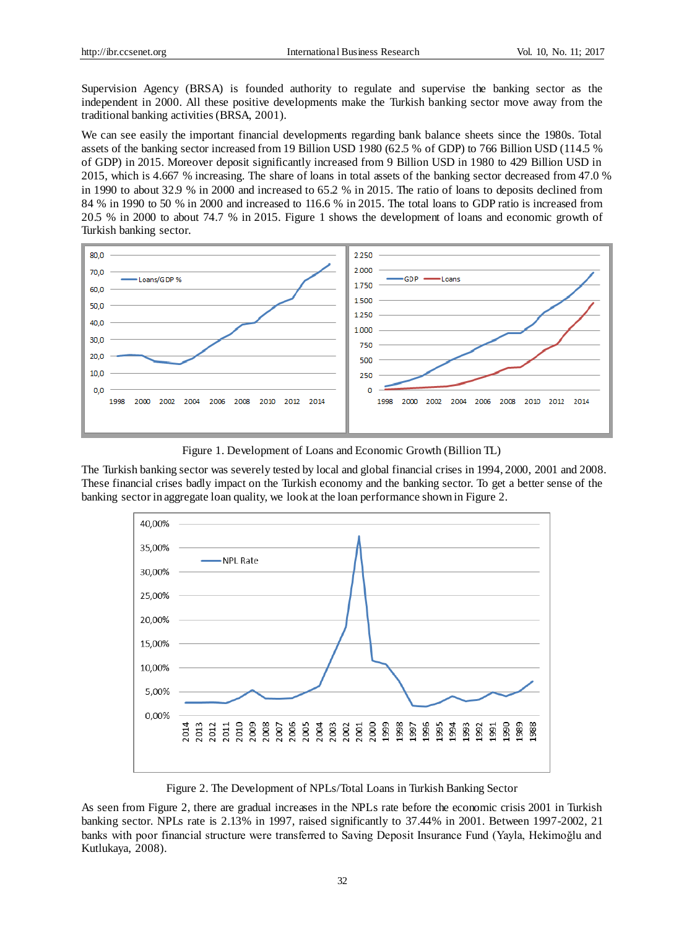Supervision Agency (BRSA) is founded authority to regulate and supervise the banking sector as the independent in 2000. All these positive developments make the Turkish banking sector move away from the traditional banking activities (BRSA, 2001).

We can see easily the important financial developments regarding bank balance sheets since the 1980s. Total assets of the banking sector increased from 19 Billion USD 1980 (62.5 % of GDP) to 766 Billion USD (114.5 % of GDP) in 2015. Moreover deposit significantly increased from 9 Billion USD in 1980 to 429 Billion USD in 2015, which is 4.667 % increasing. The share of loans in total assets of the banking sector decreased from 47.0 % in 1990 to about 32.9 % in 2000 and increased to 65.2 % in 2015. The ratio of loans to deposits declined from 84 % in 1990 to 50 % in 2000 and increased to 116.6 % in 2015. The total loans to GDP ratio is increased from 20.5 % in 2000 to about 74.7 % in 2015. Figure 1 shows the development of loans and economic growth of Turkish banking sector.





The Turkish banking sector was severely tested by local and global financial crises in 1994, 2000, 2001 and 2008. These financial crises badly impact on the Turkish economy and the banking sector. To get a better sense of the banking sector in aggregate loan quality, we look at the loan performance shown in Figure 2.



Figure 2. The Development of NPLs/Total Loans in Turkish Banking Sector

As seen from Figure 2, there are gradual increases in the NPLs rate before the economic crisis 2001 in Turkish banking sector. NPLs rate is 2.13% in 1997, raised significantly to 37.44% in 2001. Between 1997-2002, 21 banks with poor financial structure were transferred to Saving Deposit Insurance Fund (Yayla, Hekimoğlu and Kutlukaya, 2008).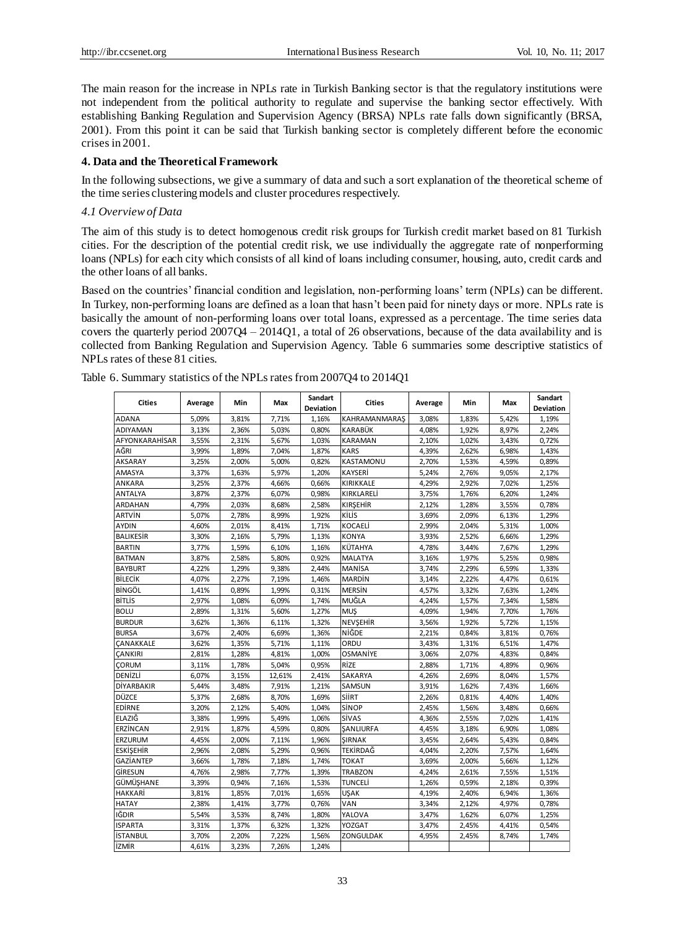The main reason for the increase in NPLs rate in Turkish Banking sector is that the regulatory institutions were not independent from the political authority to regulate and supervise the banking sector effectively. With establishing Banking Regulation and Supervision Agency (BRSA) NPLs rate falls down significantly (BRSA, 2001). From this point it can be said that Turkish banking sector is completely different before the economic crises in 2001.

## **4. Data and the Theoretical Framework**

In the following subsections, we give a summary of data and such a sort explanation of the theoretical scheme of the time series clustering models and cluster procedures respectively.

## *4.1 Overview of Data*

The aim of this study is to detect homogenous credit risk groups for Turkish credit market based on 81 Turkish cities. For the description of the potential credit risk, we use individually the aggregate rate of nonperforming loans (NPLs) for each city which consists of all kind of loans including consumer, housing, auto, credit cards and the other loans of all banks.

Based on the countries' financial condition and legislation, non-performing loans' term (NPLs) can be different. In Turkey, non-performing loans are defined as a loan that hasn't been paid for ninety days or more. NPLs rate is basically the amount of non-performing loans over total loans, expressed as a percentage. The time series data covers the quarterly period 2007Q4 – 2014Q1, a total of 26 observations, because of the data availability and is collected from Banking Regulation and Supervision Agency. Table 6 summaries some descriptive statistics of NPLs rates of these 81 cities.

|                   |         |       |        | Sandart          |                      |         |       |       | Sandart          |
|-------------------|---------|-------|--------|------------------|----------------------|---------|-------|-------|------------------|
| <b>Cities</b>     | Average | Min   | Max    | <b>Deviation</b> | <b>Cities</b>        | Average | Min   | Max   | <b>Deviation</b> |
| <b>ADANA</b>      | 5,09%   | 3,81% | 7,71%  | 1,16%            | <b>KAHRAMANMARAS</b> | 3,08%   | 1,83% | 5,42% | 1,19%            |
| <b>ADIYAMAN</b>   | 3,13%   | 2,36% | 5,03%  | 0.80%            | <b>KARABÜK</b>       | 4,08%   | 1,92% | 8,97% | 2,24%            |
| AFYONKARAHİSAR    | 3,55%   | 2,31% | 5,67%  | 1,03%            | KARAMAN              | 2,10%   | 1,02% | 3,43% | 0,72%            |
| AĞRI              | 3,99%   | 1,89% | 7,04%  | 1,87%            | <b>KARS</b>          | 4,39%   | 2,62% | 6,98% | 1,43%            |
| AKSARAY           | 3,25%   | 2,00% | 5,00%  | 0.82%            | KASTAMONU            | 2,70%   | 1,53% | 4,59% | 0,89%            |
| AMASYA            | 3,37%   | 1,63% | 5,97%  | 1,20%            | <b>KAYSERİ</b>       | 5,24%   | 2,76% | 9,05% | 2,17%            |
| ANKARA            | 3,25%   | 2,37% | 4,66%  | 0,66%            | KIRIKKALE            | 4,29%   | 2,92% | 7,02% | 1,25%            |
| <b>ANTALYA</b>    | 3,87%   | 2,37% | 6,07%  | 0,98%            | KIRKLARELİ           | 3,75%   | 1,76% | 6,20% | 1,24%            |
| <b>ARDAHAN</b>    | 4.79%   | 2.03% | 8.68%  | 2.58%            | <b>KIRSEHIR</b>      | 2.12%   | 1,28% | 3.55% | 0.78%            |
| <b>ARTVIN</b>     | 5,07%   | 2,78% | 8,99%  | 1,92%            | KİLİS                | 3,69%   | 2,09% | 6,13% | 1,29%            |
| <b>AYDIN</b>      | 4,60%   | 2,01% | 8,41%  | 1,71%            | <b>KOCAELİ</b>       | 2,99%   | 2,04% | 5,31% | 1,00%            |
| <b>BALIKESIR</b>  | 3,30%   | 2,16% | 5,79%  | 1,13%            | <b>KONYA</b>         | 3,93%   | 2,52% | 6,66% | 1,29%            |
| <b>BARTIN</b>     | 3,77%   | 1,59% | 6,10%  | 1.16%            | KÜTAHYA              | 4,78%   | 3,44% | 7,67% | 1,29%            |
| <b>BATMAN</b>     | 3,87%   | 2,58% | 5,80%  | 0,92%            | MALATYA              | 3,16%   | 1,97% | 5,25% | 0,98%            |
| <b>BAYBURT</b>    | 4,22%   | 1,29% | 9,38%  | 2,44%            | MANİSA               | 3,74%   | 2,29% | 6,59% | 1,33%            |
| <b>BİLECİK</b>    | 4,07%   | 2,27% | 7,19%  | 1,46%            | <b>MARDIN</b>        | 3,14%   | 2,22% | 4,47% | 0,61%            |
| BINGÖL            | 1,41%   | 0,89% | 1,99%  | 0,31%            | <b>MERSIN</b>        | 4,57%   | 3,32% | 7,63% | 1,24%            |
| <b>BITLIS</b>     | 2,97%   | 1,08% | 6,09%  | 1,74%            | MUĞLA                | 4,24%   | 1,57% | 7,34% | 1,58%            |
| <b>BOLU</b>       | 2,89%   | 1.31% | 5.60%  | 1.27%            | <b>MUS</b>           | 4.09%   | 1,94% | 7,70% | 1.76%            |
| <b>BURDUR</b>     | 3,62%   | 1.36% | 6.11%  | 1.32%            | NEVSEHIR             | 3,56%   | 1,92% | 5.72% | 1.15%            |
| <b>BURSA</b>      | 3,67%   | 2,40% | 6,69%  | 1,36%            | NİĞDE                | 2,21%   | 0,84% | 3,81% | 0,76%            |
| <b>ÇANAKKALE</b>  | 3,62%   | 1,35% | 5,71%  | 1,11%            | ORDU                 | 3,43%   | 1,31% | 6,51% | 1,47%            |
| <b>CANKIRI</b>    | 2,81%   | 1,28% | 4,81%  | 1,00%            | OSMANİYE             | 3,06%   | 2,07% | 4,83% | 0,84%            |
| <b>CORUM</b>      | 3,11%   | 1,78% | 5.04%  | 0.95%            | RİZE                 | 2,88%   | 1.71% | 4,89% | 0,96%            |
| DENIZLI           | 6,07%   | 3,15% | 12,61% | 2,41%            | <b>SAKARYA</b>       | 4,26%   | 2,69% | 8,04% | 1,57%            |
| <b>DİYARBAKIR</b> | 5,44%   | 3,48% | 7,91%  | 1,21%            | SAMSUN               | 3,91%   | 1,62% | 7,43% | 1,66%            |
| DÜZCE             | 5,37%   | 2,68% | 8,70%  | 1,69%            | <b>SIIRT</b>         | 2,26%   | 0,81% | 4.40% | 1,40%            |
| EDİRNE            | 3,20%   | 2,12% | 5,40%  | 1.04%            | SINOP                | 2,45%   | 1,56% | 3,48% | 0,66%            |
| ELAZIĞ            | 3,38%   | 1,99% | 5,49%  | 1,06%            | <b>SİVAS</b>         | 4,36%   | 2,55% | 7,02% | 1,41%            |
| ERZÍNCAN          | 2,91%   | 1,87% | 4.59%  | 0.80%            | SANLIURFA            | 4,45%   | 3,18% | 6,90% | 1.08%            |
| ERZURUM           | 4,45%   | 2,00% | 7,11%  | 1,96%            | <b>SIRNAK</b>        | 3,45%   | 2,64% | 5,43% | 0,84%            |
| <b>ESKİSEHİR</b>  | 2,96%   | 2,08% | 5,29%  | 0,96%            | TEKİRDAĞ             | 4,04%   | 2,20% | 7,57% | 1,64%            |
| GAZIANTEP         | 3,66%   | 1,78% | 7,18%  | 1,74%            | <b>TOKAT</b>         | 3,69%   | 2,00% | 5,66% | 1,12%            |
| GİRESUN           | 4,76%   | 2,98% | 7,77%  | 1,39%            | <b>TRABZON</b>       | 4,24%   | 2,61% | 7,55% | 1,51%            |
| <b>GÜMÜSHANE</b>  | 3,39%   | 0.94% | 7.16%  | 1.53%            | TUNCELİ              | 1,26%   | 0,59% | 2,18% | 0,39%            |
| <b>HAKKARI</b>    | 3,81%   | 1,85% | 7,01%  | 1,65%            | <b>USAK</b>          | 4,19%   | 2,40% | 6,94% | 1,36%            |
| <b>HATAY</b>      | 2,38%   | 1,41% | 3,77%  | 0,76%            | VAN                  | 3,34%   | 2,12% | 4,97% | 0,78%            |
| IĞDIR             | 5,54%   | 3,53% | 8,74%  | 1,80%            | YALOVA               | 3,47%   | 1,62% | 6,07% | 1,25%            |
| <b>ISPARTA</b>    | 3,31%   | 1,37% | 6,32%  | 1,32%            | YOZGAT               | 3,47%   | 2,45% | 4,41% | 0,54%            |
| <b>ISTANBUL</b>   | 3,70%   | 2,20% | 7,22%  | 1,56%            | ZONGULDAK            | 4,95%   | 2,45% | 8,74% | 1,74%            |
| <b>İZMİR</b>      | 4,61%   | 3,23% | 7,26%  | 1,24%            |                      |         |       |       |                  |

Table 6. Summary statistics of the NPLs rates from 2007Q4 to 2014Q1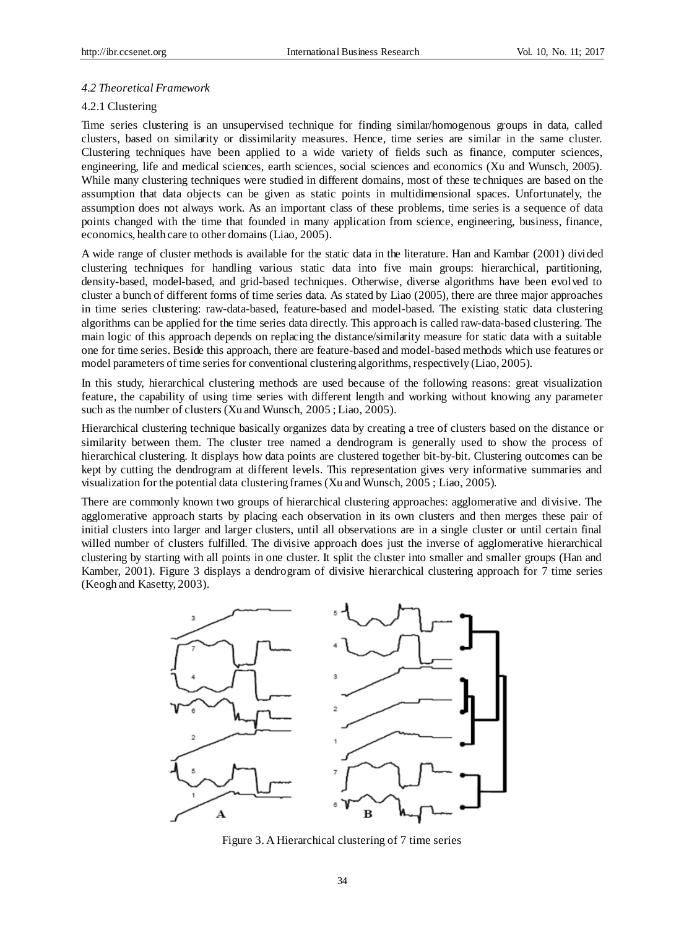#### *4.2 Theoretical Framework*

#### 4.2.1 Clustering

Time series clustering is an unsupervised technique for finding similar/homogenous groups in data, called clusters, based on similarity or dissimilarity measures. Hence, time series are similar in the same cluster. Clustering techniques have been applied to a wide variety of fields such as finance, computer sciences, engineering, life and medical sciences, earth sciences, social sciences and economics (Xu and Wunsch, 2005). While many clustering techniques were studied in different domains, most of these techniques are based on the assumption that data objects can be given as static points in multidimensional spaces. Unfortunately, the assumption does not always work. As an important class of these problems, time series is a sequence of data points changed with the time that founded in many application from science, engineering, business, finance, economics, health care to other domains (Liao, 2005).

A wide range of cluster methods is available for the static data in the literature. Han and Kambar (2001) divided clustering techniques for handling various static data into five main groups: hierarchical, partitioning, density-based, model-based, and grid-based techniques. Otherwise, diverse algorithms have been evolved to cluster a bunch of different forms of time series data. As stated by Liao (2005), there are three major approaches in time series clustering: raw-data-based, feature-based and model-based. The existing static data clustering algorithms can be applied for the time series data directly. This approach is called raw-data-based clustering. The main logic of this approach depends on replacing the distance/similarity measure for static data with a suitable one for time series. Beside this approach, there are feature-based and model-based methods which use features or model parameters of time series for conventional clustering algorithms, respectively (Liao, 2005).

In this study, hierarchical clustering methods are used because of the following reasons: great visualization feature, the capability of using time series with different length and working without knowing any parameter such as the number of clusters (Xu and Wunsch, 2005 ; Liao, 2005).

Hierarchical clustering technique basically organizes data by creating a tree of clusters based on the distance or similarity between them. The cluster tree named a dendrogram is generally used to show the process of hierarchical clustering. It displays how data points are clustered together bit-by-bit. Clustering outcomes can be kept by cutting the dendrogram at different levels. This representation gives very informative summaries and visualization for the potential data clustering frames (Xu and Wunsch, 2005 ; Liao, 2005).

There are commonly known two groups of hierarchical clustering approaches: agglomerative and divisive. The agglomerative approach starts by placing each observation in its own clusters and then merges these pair of initial clusters into larger and larger clusters, until all observations are in a single cluster or until certain final willed number of clusters fulfilled. The divisive approach does just the inverse of agglomerative hierarchical clustering by starting with all points in one cluster. It split the cluster into smaller and smaller groups (Han and Kamber, 2001). Figure 3 displays a dendrogram of divisive hierarchical clustering approach for 7 time series (Keogh and Kasetty, 2003).



Figure 3. A Hierarchical clustering of 7 time series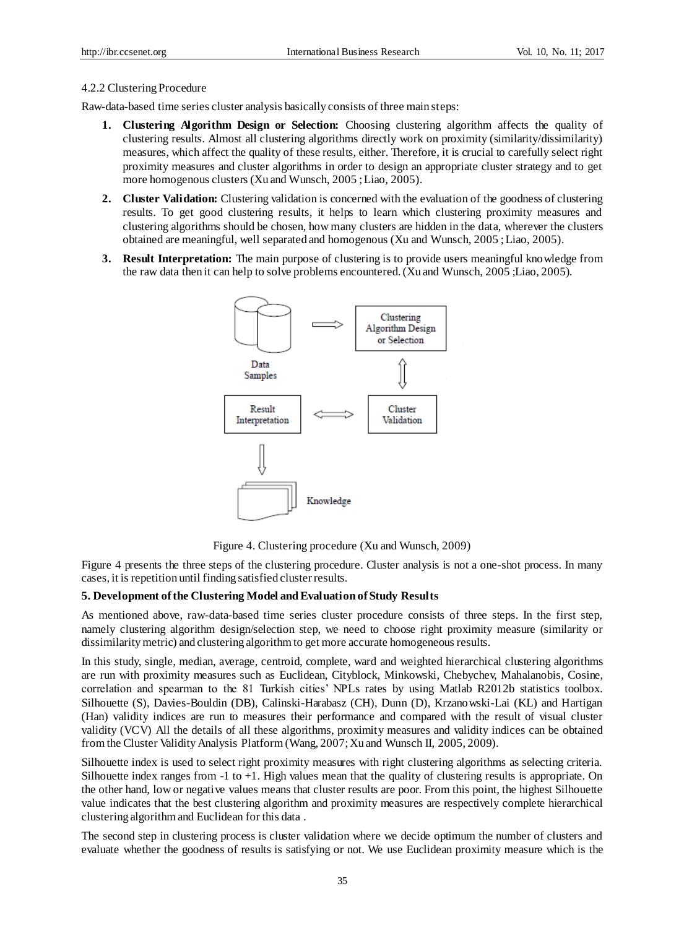#### 4.2.2 Clustering Procedure

Raw-data-based time series cluster analysis basically consists of three main steps:

- **1. Clustering Algorithm Design or Selection:** Choosing clustering algorithm affects the quality of clustering results. Almost all clustering algorithms directly work on proximity (similarity/dissimilarity) measures, which affect the quality of these results, either. Therefore, it is crucial to carefully select right proximity measures and cluster algorithms in order to design an appropriate cluster strategy and to get more homogenous clusters (Xu and Wunsch, 2005 ; Liao, 2005).
- **2. Cluster Validation:** Clustering validation is concerned with the evaluation of the goodness of clustering results. To get good clustering results, it helps to learn which clustering proximity measures and clustering algorithms should be chosen, how many clusters are hidden in the data, wherever the clusters obtained are meaningful, well separated and homogenous (Xu and Wunsch, 2005 ; Liao, 2005).
- **3. Result Interpretation:** The main purpose of clustering is to provide users meaningful knowledge from the raw data then it can help to solve problems encountered. (Xu and Wunsch, 2005 ;Liao, 2005).



Figure 4. Clustering procedure (Xu and Wunsch, 2009)

Figure 4 presents the three steps of the clustering procedure. Cluster analysis is not a one-shot process. In many cases, it is repetition until finding satisfied cluster results.

#### **5. Development of the Clustering Model and Evaluation of Study Results**

As mentioned above, raw-data-based time series cluster procedure consists of three steps. In the first step, namely clustering algorithm design/selection step, we need to choose right proximity measure (similarity or dissimilarity metric) and clustering algorithm to get more accurate homogeneous results.

In this study, single, median, average, centroid, complete, ward and weighted hierarchical clustering algorithms are run with proximity measures such as Euclidean, Cityblock, Minkowski, Chebychev, Mahalanobis, Cosine, correlation and spearman to the 81 Turkish cities' NPLs rates by using Matlab R2012b statistics toolbox. Silhouette (S), Davies-Bouldin (DB), Calinski-Harabasz (CH), Dunn (D), Krzanowski-Lai (KL) and Hartigan (Han) validity indices are run to measures their performance and compared with the result of visual cluster validity (VCV) All the details of all these algorithms, proximity measures and validity indices can be obtained from the Cluster Validity Analysis Platform (Wang, 2007; Xu and Wunsch II, 2005, 2009).

Silhouette index is used to select right proximity measures with right clustering algorithms as selecting criteria. Silhouette index ranges from -1 to +1. High values mean that the quality of clustering results is appropriate. On the other hand, low or negative values means that cluster results are poor. From this point, the highest Silhouette value indicates that the best clustering algorithm and proximity measures are respectively complete hierarchical clustering algorithm and Euclidean for this data .

The second step in clustering process is cluster validation where we decide optimum the number of clusters and evaluate whether the goodness of results is satisfying or not. We use Euclidean proximity measure which is the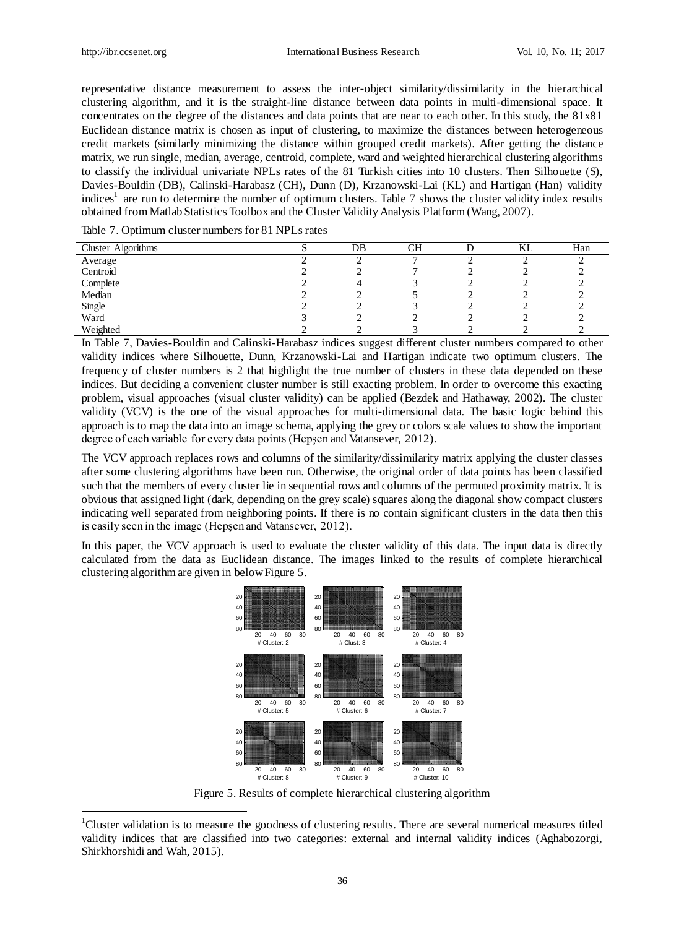1

representative distance measurement to assess the inter-object similarity/dissimilarity in the hierarchical clustering algorithm, and it is the straight-line distance between data points in multi-dimensional space. It concentrates on the degree of the distances and data points that are near to each other. In this study, the 81x81 Euclidean distance matrix is chosen as input of clustering, to maximize the distances between heterogeneous credit markets (similarly minimizing the distance within grouped credit markets). After getting the distance matrix, we run single, median, average, centroid, complete, ward and weighted hierarchical clustering algorithms to classify the individual univariate NPLs rates of the 81 Turkish cities into 10 clusters. Then Silhouette (S), Davies-Bouldin (DB), Calinski-Harabasz (CH), Dunn (D), Krzanowski-Lai (KL) and Hartigan (Han) validity indices<sup>1</sup> are run to determine the number of optimum clusters. Table 7 shows the cluster validity index results obtained from Matlab Statistics Toolbox and the Cluster Validity Analysis Platform (Wang, 2007).

Table 7. Optimum cluster numbers for 81 NPLs rates

| <b>Cluster Algorithms</b> | DB | CН | KL | Han |
|---------------------------|----|----|----|-----|
| Average                   |    |    |    |     |
| Centroid                  |    |    |    |     |
| Complete                  |    |    |    |     |
| Median                    |    |    |    |     |
| Single                    |    |    |    |     |
| Ward                      |    |    |    |     |
| Weighted                  |    |    |    |     |

In Table 7, Davies-Bouldin and Calinski-Harabasz indices suggest different cluster numbers compared to other validity indices where Silhouette, Dunn, Krzanowski-Lai and Hartigan indicate two optimum clusters. The frequency of cluster numbers is 2 that highlight the true number of clusters in these data depended on these indices. But deciding a convenient cluster number is still exacting problem. In order to overcome this exacting problem, visual approaches (visual cluster validity) can be applied (Bezdek and Hathaway, 2002). The cluster validity (VCV) is the one of the visual approaches for multi-dimensional data. The basic logic behind this approach is to map the data into an image schema, applying the grey or colors scale values to show the important degree of each variable for every data points (Hepşen and Vatansever, 2012).

The VCV approach replaces rows and columns of the similarity/dissimilarity matrix applying the cluster classes after some clustering algorithms have been run. Otherwise, the original order of data points has been classified such that the members of every cluster lie in sequential rows and columns of the permuted proximity matrix. It is obvious that assigned light (dark, depending on the grey scale) squares along the diagonal show compact clusters indicating well separated from neighboring points. If there is no contain significant clusters in the data then this is easily seen in the image (Hepşen and Vatansever, 2012).

In this paper, the VCV approach is used to evaluate the cluster validity of this data. The input data is directly calculated from the data as Euclidean distance. The images linked to the results of complete hierarchical clustering algorithm are given in below Figure 5.



Figure 5. Results of complete hierarchical clustering algorithm

<sup>&</sup>lt;sup>1</sup>Cluster validation is to measure the goodness of clustering results. There are several numerical measures titled validity indices that are classified into two categories: external and internal validity indices (Aghabozorgi, Shirkhorshidi and Wah, 2015).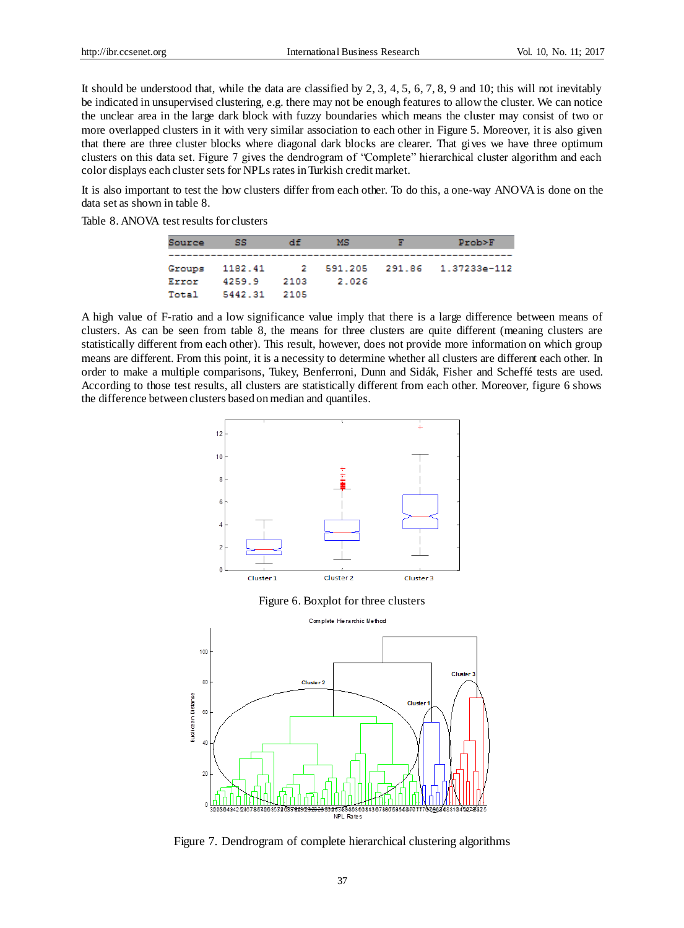It should be understood that, while the data are classified by  $2, 3, 4, 5, 6, 7, 8, 9$  and 10; this will not inevitably be indicated in unsupervised clustering, e.g. there may not be enough features to allow the cluster. We can notice the unclear area in the large dark block with fuzzy boundaries which means the cluster may consist of two or more overlapped clusters in it with very similar association to each other in Figure 5. Moreover, it is also given that there are three cluster blocks where diagonal dark blocks are clearer. That gives we have three optimum clusters on this data set. Figure 7 gives the dendrogram of "Complete" hierarchical cluster algorithm and each color displays each cluster sets for NPLs rates in Turkish credit market.

It is also important to test the how clusters differ from each other. To do this, a one-way ANOVA is done on the data set as shown in table 8.

Table 8. ANOVA test results for clusters

| Source SS df            |  | MS F | Prob>F                                          |
|-------------------------|--|------|-------------------------------------------------|
|                         |  |      |                                                 |
|                         |  |      | Groups 1182.41  2 591.205  291.86  1.37233e-112 |
| Error 4259.9 2103 2.026 |  |      |                                                 |
| Total 5442.31 2105      |  |      |                                                 |

A high value of F-ratio and a low significance value imply that there is a large difference between means of clusters. As can be seen from table 8, the means for three clusters are quite different (meaning clusters are statistically different from each other). This result, however, does not provide more information on which group means are different. From this point, it is a necessity to determine whether all clusters are different each other. In order to make a multiple comparisons, [Tukey,](http://www.mathworks.com/help/stats/multiple-comparisons.html#bum7ugv-1) Benferroni, Dunn and Sid &, [Fisher](http://www.mathworks.com/help/stats/multiple-comparisons.html#bum7uib-1) and [Scheffét](http://www.mathworks.com/help/stats/multiple-comparisons.html#bum7ug8-1)ests are used. According to those test results, all clusters are statistically different from each other. Moreover, figure 6 shows the difference between clusters based on median and quantiles.



Figure 6. Boxplot for three clusters



Figure 7. Dendrogram of complete hierarchical clustering algorithms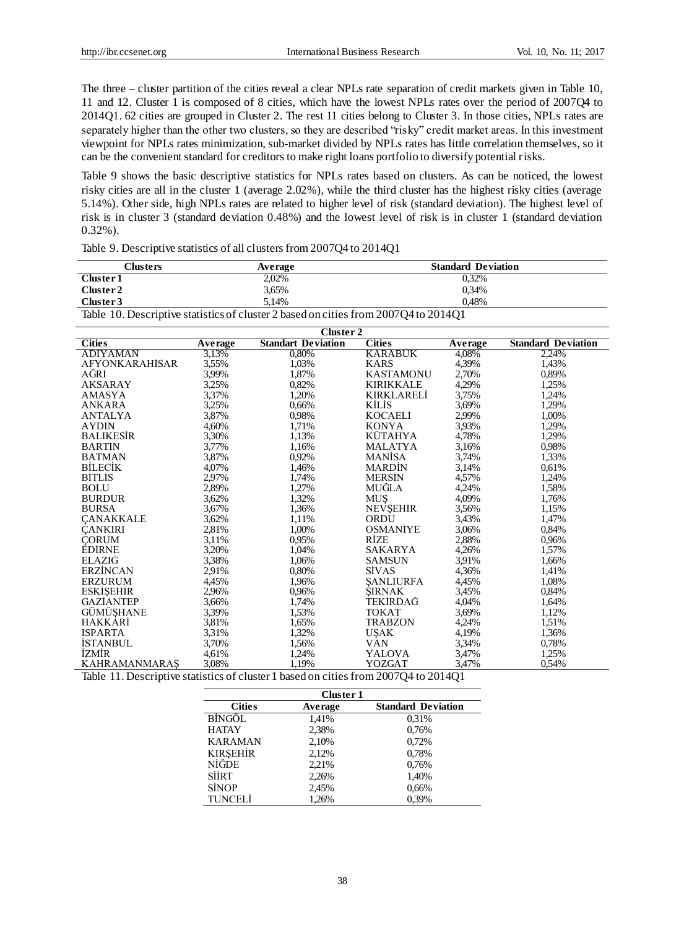The three – cluster partition of the cities reveal a clear NPLs rate separation of credit markets given in Table 10, 11 and 12. Cluster 1 is composed of 8 cities, which have the lowest NPLs rates over the period of 2007Q4 to 2014Q1. 62 cities are grouped in Cluster 2. The rest 11 cities belong to Cluster 3. In those cities, NPLs rates are separately higher than the other two clusters, so they are described "risky" credit market areas. In this investment viewpoint for NPLs rates minimization, sub-market divided by NPLs rates has little correlation themselves, so it can be the convenient standard for creditors to make right loans portfolio to diversify potential risks.

Table 9 shows the basic descriptive statistics for NPLs rates based on clusters. As can be noticed, the lowest risky cities are all in the cluster 1 (average 2.02%), while the third cluster has the highest risky cities (average 5.14%). Other side, high NPLs rates are related to higher level of risk (standard deviation). The highest level of risk is in cluster 3 (standard deviation 0.48%) and the lowest level of risk is in cluster 1 (standard deviation 0.32%).

| <b>Clusters</b>                                                                     | Average |                           | <b>Standard Deviation</b> |         |                           |  |
|-------------------------------------------------------------------------------------|---------|---------------------------|---------------------------|---------|---------------------------|--|
| Cluster 1                                                                           |         | 2,02%                     |                           | 0,32%   |                           |  |
| Cluster 2                                                                           |         | 3,65%                     |                           | 0.34%   |                           |  |
| Cluster 3                                                                           |         | 5,14%                     |                           | 0,48%   |                           |  |
| Table 10. Descriptive statistics of cluster 2 based on cities from 2007Q4 to 2014Q1 |         |                           |                           |         |                           |  |
|                                                                                     |         | Cluster 2                 |                           |         |                           |  |
| <b>Cities</b>                                                                       | Average | <b>Standart Deviation</b> | <b>Cities</b>             | Average | <b>Standard Deviation</b> |  |
| <b>ADIYAMAN</b>                                                                     | 3,13%   | 0,80%                     | <b>KARABUK</b>            | 4,08%   | 2,24%                     |  |
| <b>AFYONKARAHİSAR</b>                                                               | 3,55%   | 1,03%                     | <b>KARS</b>               | 4,39%   | 1,43%                     |  |
| AĞRI                                                                                | 3,99%   | 1,87%                     | <b>KASTAMONU</b>          | 2,70%   | 0,89%                     |  |
| <b>AKSARAY</b>                                                                      | 3,25%   | 0,82%                     | <b>KIRIKKALE</b>          | 4,29%   | 1,25%                     |  |
| <b>AMASYA</b>                                                                       | 3,37%   | 1,20%                     | KIRKLARELİ                | 3,75%   | 1,24%                     |  |
| <b>ANKARA</b>                                                                       | 3,25%   | 0.66%                     | KİLİS                     | 3,69%   | 1,29%                     |  |
| <b>ANTALYA</b>                                                                      | 3,87%   | 0.98%                     | <b>KOCAELI</b>            | 2,99%   | 1,00%                     |  |
| <b>AYDIN</b>                                                                        | 4,60%   | 1,71%                     | <b>KONYA</b>              | 3,93%   | 1,29%                     |  |
| <b>BALIKESIR</b>                                                                    | 3,30%   | 1,13%                     | KÜTAHYA                   | 4,78%   | 1,29%                     |  |
| <b>BARTIN</b>                                                                       | 3,77%   | 1,16%                     | <b>MALATYA</b>            | 3,16%   | 0.98%                     |  |
| <b>BATMAN</b>                                                                       | 3,87%   | 0.92%                     | <b>MANISA</b>             | 3,74%   | 1,33%                     |  |
| <b>BILECIK</b>                                                                      | 4,07%   | 1,46%                     | <b>MARDIN</b>             | 3,14%   | 0,61%                     |  |
| <b>BITLIS</b>                                                                       | 2,97%   | 1,74%                     | <b>MERSIN</b>             | 4,57%   | 1,24%                     |  |
| <b>BOLU</b>                                                                         | 2,89%   | 1,27%                     | MUĞLA                     | 4,24%   | 1,58%                     |  |
| <b>BURDUR</b>                                                                       | 3,62%   | 1,32%                     | <b>MUŞ</b>                | 4,09%   | 1,76%                     |  |
| <b>BURSA</b>                                                                        | 3,67%   | 1,36%                     | <b>NEVSEHIR</b>           | 3,56%   | 1,15%                     |  |
| CANAKKALE                                                                           | 3,62%   | 1,11%                     | ORDU                      | 3,43%   | 1,47%                     |  |
| <b>CANKIRI</b>                                                                      | 2,81%   | 1,00%                     | <b>OSMANIYE</b>           | 3,06%   | 0,84%                     |  |
| <b>CORUM</b>                                                                        | 3,11%   | 0,95%                     | RİZE                      | 2,88%   | 0,96%                     |  |
| <b>EDIRNE</b>                                                                       | 3,20%   | 1,04%                     | SAKARYA                   | 4,26%   | 1,57%                     |  |
| ELAZIĞ                                                                              | 3,38%   | 1,06%                     | <b>SAMSUN</b>             | 3,91%   | 1,66%                     |  |
| <b>ERZİNCAN</b>                                                                     | 2,91%   | 0,80%                     | <b>SİVAS</b>              | 4,36%   | 1,41%                     |  |
| <b>ERZURUM</b>                                                                      | 4,45%   | 1,96%                     | <b>SANLIURFA</b>          | 4,45%   | 1,08%                     |  |
| ESKIŞEHIR                                                                           | 2,96%   | 0,96%                     | <b>SIRNAK</b>             | 3,45%   | 0,84%                     |  |
| <b>GAZIANTEP</b>                                                                    | 3,66%   | 1,74%                     | TEKIRDAĞ                  | 4,04%   | 1,64%                     |  |
| GÜMÜŞHANE                                                                           | 3,39%   | 1,53%                     | <b>TOKAT</b>              | 3,69%   | 1,12%                     |  |
| <b>HAKKARI</b>                                                                      | 3,81%   | 1,65%                     | <b>TRABZON</b>            | 4,24%   | 1,51%                     |  |
| <b>ISPARTA</b>                                                                      | 3,31%   | 1,32%                     | <b>USAK</b>               | 4,19%   | 1,36%                     |  |
| <b>İSTANBUL</b>                                                                     | 3,70%   | 1,56%                     | <b>VAN</b>                | 3,34%   | 0,78%                     |  |
| <b>İZMİR</b>                                                                        | 4,61%   | 1,24%                     | YALOVA                    | 3,47%   | 1,25%                     |  |
| KAHRAMANMARAS                                                                       | 3,08%   | 1,19%                     | YOZGAT                    | 3,47%   | 0,54%                     |  |

Table 9. Descriptive statistics of all clusters from 2007Q4 to 2014Q1

Table 11. Descriptive statistics of cluster 1 based on cities from 2007Q4 to 2014Q1

| Cluster 1       |         |                           |  |  |  |  |  |  |
|-----------------|---------|---------------------------|--|--|--|--|--|--|
| <b>Cities</b>   | Average | <b>Standard Deviation</b> |  |  |  |  |  |  |
| BİNGÖL          | 1.41%   | 0,31%                     |  |  |  |  |  |  |
| <b>HATAY</b>    | 2,38%   | 0,76%                     |  |  |  |  |  |  |
| <b>KARAMAN</b>  | 2,10%   | 0,72%                     |  |  |  |  |  |  |
| <b>KIRSEHİR</b> | 2.12%   | 0,78%                     |  |  |  |  |  |  |
| NİĞDE           | 2,21%   | 0,76%                     |  |  |  |  |  |  |
| SİİRT           | 2,26%   | 1,40%                     |  |  |  |  |  |  |
| <b>SINOP</b>    | 2,45%   | 0,66%                     |  |  |  |  |  |  |
| <b>TUNCELI</b>  | 1.26%   | 0.39%                     |  |  |  |  |  |  |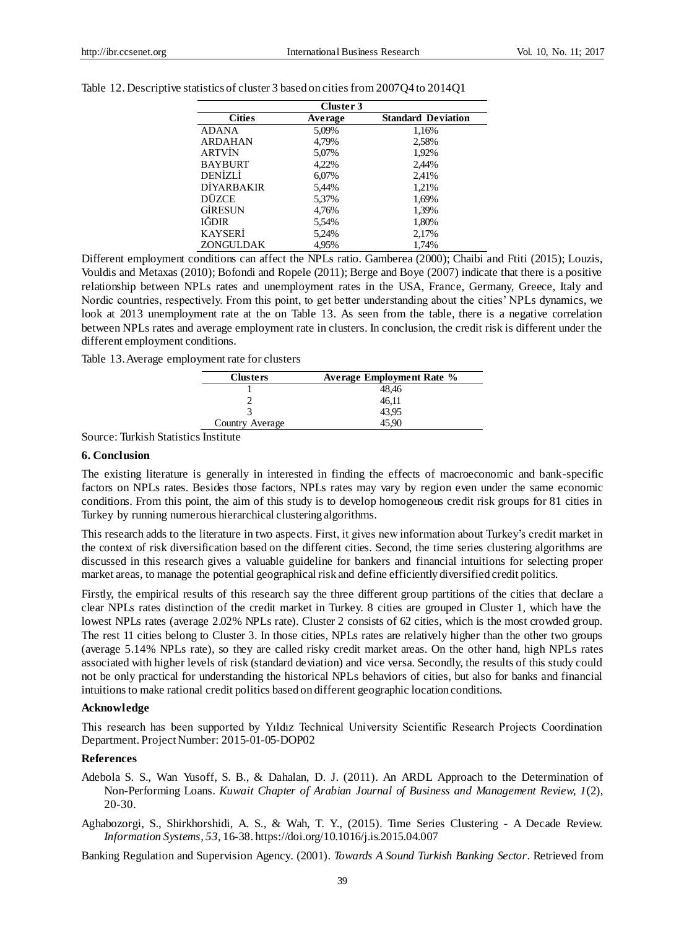| Cluster 3         |         |                           |
|-------------------|---------|---------------------------|
| <b>Cities</b>     | Average | <b>Standard Deviation</b> |
| <b>ADANA</b>      | 5.09%   | 1,16%                     |
| ARDAHAN           | 4,79%   | 2.58%                     |
| <b>ARTVIN</b>     | 5,07%   | 1,92%                     |
| <b>BAYBURT</b>    | 4,22%   | 2,44%                     |
| DENIZLI           | 6,07%   | 2,41%                     |
| <b>DİYARBAKIR</b> | 5.44%   | 1,21%                     |
| DÜZCE             | 5,37%   | 1.69%                     |
| <b>GIRESUN</b>    | 4,76%   | 1.39%                     |
| IĞDIR             | 5,54%   | 1,80%                     |
| <b>KAYSERI</b>    | 5,24%   | 2,17%                     |
| ZONGULDAK         | 4.95%   | 1.74%                     |

Table 12. Descriptive statistics of cluster 3 based on cities from 2007Q4 to 2014Q1

Different employment conditions can affect the NPLs ratio. Gamberea (2000); Chaibi and Ftiti (2015); Louzis, Vouldis and Metaxas (2010); Bofondi and Ropele (2011); Berge and Boye (2007) indicate that there is a positive relationship between NPLs rates and unemployment rates in the USA, France, Germany, Greece, Italy and Nordic countries, respectively. From this point, to get better understanding about the cities' NPLs dynamics, we look at 2013 unemployment rate at the on Table 13. As seen from the table, there is a negative correlation between NPLs rates and average employment rate in clusters. In conclusion, the credit risk is different under the different employment conditions.

Table 13.Average employment rate for clusters

| <b>Clusters</b> | <b>Average Employment Rate %</b> |  |
|-----------------|----------------------------------|--|
|                 | 48,46                            |  |
|                 | 46,11                            |  |
|                 | 43,95                            |  |
| Country Average |                                  |  |

Source: Turkish Statistics Institute

#### **6. Conclusion**

The existing literature is generally in interested in finding the effects of macroeconomic and bank-specific factors on NPLs rates. Besides those factors, NPLs rates may vary by region even under the same economic conditions. From this point, the aim of this study is to develop homogeneous credit risk groups for 81 cities in Turkey by running numerous hierarchical clustering algorithms.

This research adds to the literature in two aspects. First, it gives new information about Turkey's credit market in the context of risk diversification based on the different cities. Second, the time series clustering algorithms are discussed in this research gives a valuable guideline for bankers and financial intuitions for selecting proper market areas, to manage the potential geographical risk and define efficiently diversified credit politics.

Firstly, the empirical results of this research say the three different group partitions of the cities that declare a clear NPLs rates distinction of the credit market in Turkey. 8 cities are grouped in Cluster 1, which have the lowest NPLs rates (average 2.02% NPLs rate). Cluster 2 consists of 62 cities, which is the most crowded group. The rest 11 cities belong to Cluster 3. In those cities, NPLs rates are relatively higher than the other two groups (average 5.14% NPLs rate), so they are called risky credit market areas. On the other hand, high NPLs rates associated with higher levels of risk (standard deviation) and vice versa. Secondly, the results of this study could not be only practical for understanding the historical NPLs behaviors of cities, but also for banks and financial intuitions to make rational credit politics based on different geographic location conditions.

#### **Acknowledge**

This research has been supported by Yıldız Technical University Scientific Research Projects Coordination Department. Project Number: 2015-01-05-DOP02

#### **References**

- Adebola S. S., Wan Yusoff, S. B., & Dahalan, D. J. (2011). An ARDL Approach to the Determination of Non-Performing Loans. *Kuwait Chapter of Arabian Journal of Business and Management Review, 1*(2), 20-30.
- Aghabozorgi, S., Shirkhorshidi, A. S., & Wah, T. Y., (2015). Time Series Clustering A Decade Review. *Information Systems*, *53,* 16-38. <https://doi.org/10.1016/j.is.2015.04.007>

Banking Regulation and Supervision Agency. (2001). *Towards A Sound Turkish Banking Sector*. Retrieved from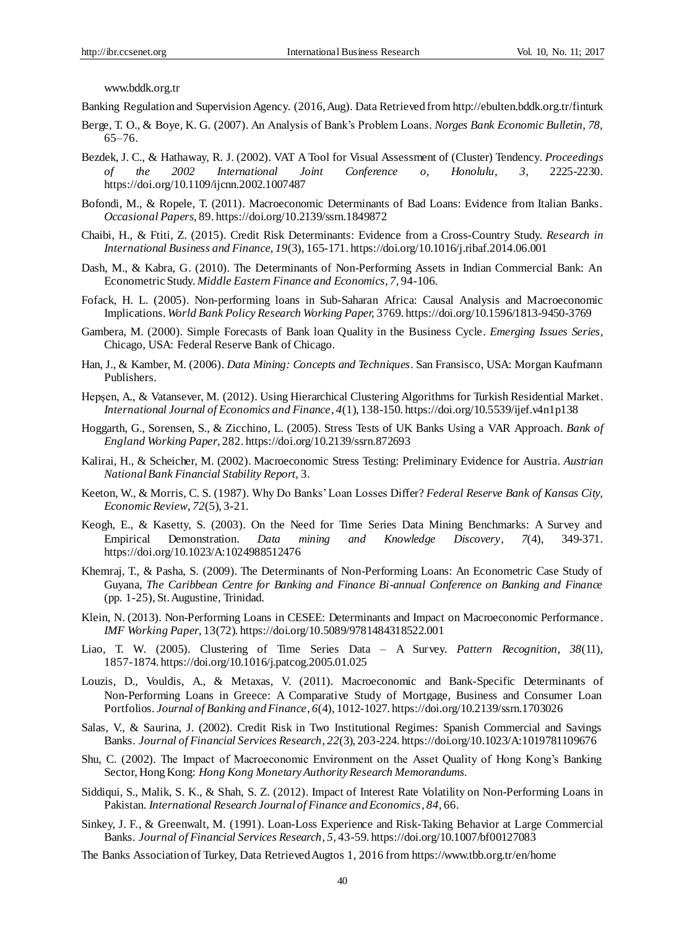[www.bddk.org.tr](http://www.bddk.org.tr/)

Banking Regulation and Supervision Agency. (2016, Aug). Data Retrieved fro[m http://ebulten.bddk.org.tr/finturk](http://ebulten.bddk.org.tr/finturk)

- Berge, T. O., & Boye, K. G. (2007). An Analysis of Bank's Problem Loans. *Norges Bank Economic Bulletin, 78,*  65–76.
- Bezdek, J. C., & Hathaway, R. J. (2002). VAT A Tool for Visual Assessment of (Cluster) Tendency. *Proceedings of the 2002 International Joint Conference o, Honolulu*, *3,* 2225-2230. <https://doi.org/10.1109/ijcnn.2002.1007487>
- Bofondi, M., & Ropele, T. (2011). Macroeconomic Determinants of Bad Loans: Evidence from Italian Banks. *Occasional Papers*, 89. <https://doi.org/10.2139/ssrn.1849872>
- Chaibi, H., & Ftiti, Z. (2015). Credit Risk Determinants: Evidence from a Cross-Country Study. *Research in International Business and Finance*, *19*(3), 165-171. <https://doi.org/10.1016/j.ribaf.2014.06.001>
- Dash, M., & Kabra, G. (2010). The Determinants of Non-Performing Assets in Indian Commercial Bank: An Econometric Study. *Middle Eastern Finance and Economics*, *7,* 94-106.
- Fofack, H. L. (2005). Non-performing loans in Sub-Saharan Africa: Causal Analysis and Macroeconomic Implications. *World Bank Policy Research Working Paper,* 3769. <https://doi.org/10.1596/1813-9450-3769>
- Gambera, M. (2000). Simple Forecasts of Bank loan Quality in the Business Cycle. *Emerging Issues Series*, Chicago, USA: Federal Reserve Bank of Chicago.
- Han, J., & Kamber, M. (2006). *Data Mining: Concepts and Techniques*. San Fransisco, USA: Morgan Kaufmann Publishers.
- Hepşen, A., & Vatansever, M. (2012). Using Hierarchical Clustering Algorithms for Turkish Residential Market. *International Journal of Economics and Finance*, *4*(1), 138-150. <https://doi.org/10.5539/ijef.v4n1p138>
- Hoggarth, G., Sorensen, S., & Zicchino, L. (2005). Stress Tests of UK Banks Using a VAR Approach. *Bank of England Working Paper*, 282. <https://doi.org/10.2139/ssrn.872693>
- Kalirai, H., & Scheicher, M. (2002). Macroeconomic Stress Testing: Preliminary Evidence for Austria. *Austrian National Bank Financial Stability Report,* 3.
- Keeton, W., & Morris, C. S. (1987). Why Do Banks' Loan Losses Differ? *Federal Reserve Bank of Kansas City, Economic Review*, *72*(5), 3-21.
- Keogh, E., & Kasetty, S. (2003). On the Need for Time Series Data Mining Benchmarks: A Survey and Empirical Demonstration. *Data mining and Knowledge Discovery*, *7*(4), 349-371. https://doi.org/10.1023/A:1024988512476
- Khemraj, T., & Pasha, S. (2009). The Determinants of Non-Performing Loans: An Econometric Case Study of Guyana, *The Caribbean Centre for Banking and Finance Bi-annual Conference on Banking and Finance*  (pp. 1-25), St. Augustine, Trinidad.
- Klein, N. (2013). Non-Performing Loans in CESEE: Determinants and Impact on Macroeconomic Performance. *IMF Working Paper*, 13(72). <https://doi.org/10.5089/9781484318522.001>
- Liao, T. W. (2005). Clustering of Time Series Data A Survey. *Pattern Recognition*, *38*(11), 1857-1874. <https://doi.org/10.1016/j.patcog.2005.01.025>
- Louzis, D., Vouldis, A., & Metaxas, V. (2011). Macroeconomic and Bank-Specific Determinants of Non-Performing Loans in Greece: A Comparative Study of Mortgage, Business and Consumer Loan Portfolios. *Journal of Banking and Finance*, *6*(4), 1012-1027. <https://doi.org/10.2139/ssrn.1703026>
- Salas, V., & Saurina, J. (2002). Credit Risk in Two Institutional Regimes: Spanish Commercial and Savings Banks. *Journal of Financial Services Research*, *22*(3), 203-224. https://doi.org/10.1023/A:1019781109676
- Shu, C. (2002). The Impact of Macroeconomic Environment on the Asset Quality of Hong Kong's Banking Sector, Hong Kong: *Hong Kong Monetary Authority Research Memorandums.*
- Siddiqui, S., Malik, S. K., & Shah, S. Z. (2012). Impact of Interest Rate Volatility on Non-Performing Loans in Pakistan. *International Research Journal of Finance and Economics*, *84,* 66.
- Sinkey, J. F., & Greenwalt, M. (1991). Loan-Loss Experience and Risk-Taking Behavior at Large Commercial Banks. *Journal of Financial Services Research*, *5,* 43-59. <https://doi.org/10.1007/bf00127083>
- The Banks Association of Turkey, Data Retrieved Augtos 1, 2016 fro[m https://www.tbb.org.tr/en/home](https://www.tbb.org.tr/en/home)